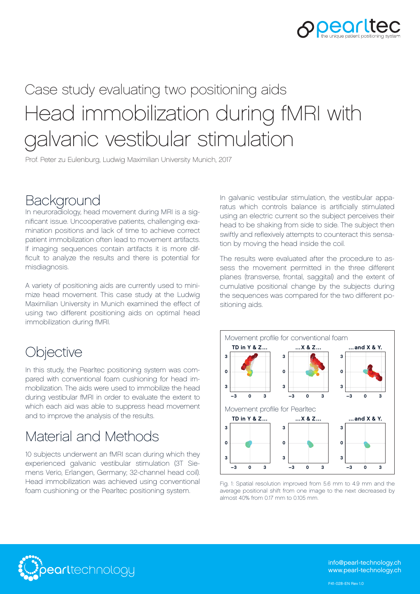

# Head immobilization during fMRI with galvanic vestibular stimulation Case study evaluating two positioning aids

Prof. Peter zu Eulenburg, Ludwig Maximilian University Munich, 2017

#### **Background**

In neuroradiology, head movement during MRI is a significant issue. Uncooperative patients, challenging examination positions and lack of time to achieve correct patient immobilization often lead to movement artifacts. If imaging sequences contain artifacts it is more difficult to analyze the results and there is potential for misdiagnosis.

A variety of positioning aids are currently used to minimize head movement. This case study at the Ludwig Maximilian University in Munich examined the effect of using two different positioning aids on optimal head immobilization during fMRI.

### **Objective**

In this study, the Pearltec positioning system was compared with conventional foam cushioning for head immobilization. The aids were used to immobilize the head during vestibular fMRI in order to evaluate the extent to which each aid was able to suppress head movement and to improve the analysis of the results.

## Material and Methods

10 subjects underwent an fMRI scan during which they experienced galvanic vestibular stimulation (3T Siemens Verio, Erlangen, Germany; 32-channel head coil). Head immobilization was achieved using conventional foam cushioning or the Pearltec positioning system.

In galvanic vestibular stimulation, the vestibular apparatus which controls balance is artificially stimulated using an electric current so the subject perceives their head to be shaking from side to side. The subject then swiftly and reflexively attempts to counteract this sensation by moving the head inside the coil.

The results were evaluated after the procedure to assess the movement permitted in the three different planes (transverse, frontal, saggital) and the extent of cumulative positional change by the subjects during the sequences was compared for the two different positioning aids.



Fig. 1: Spatial resolution improved from 5.6 mm to 4.9 mm and the average positional shift from one image to the next decreased by almost 40% from 0.17 mm to 0.105 mm.



info@pearl-technology.ch www.pearl-technology.ch